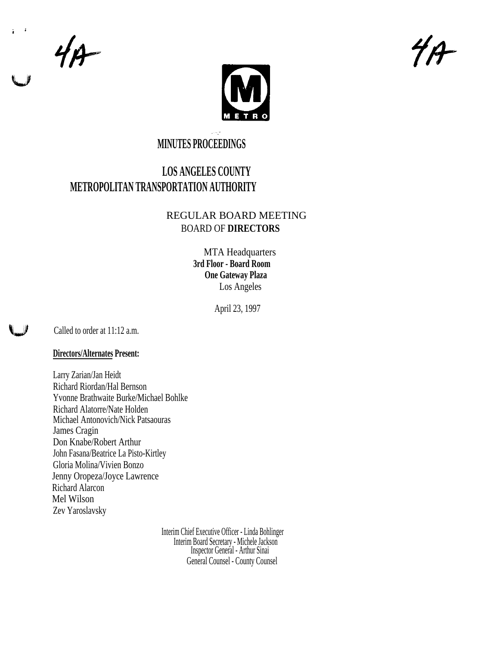$4A$ 



# **MINUTES PROCEEDINGS**

# **LOS ANGELES COUNTY METROPOLITAN TRANSPORTATION AUTHORITY**

# REGULAR BOARD MEETING BOARD OF **DIRECTORS**

MTA Headquarters **3rd Floor - Board Room One Gateway Plaza** Los Angeles

April 23, 1997

Called to order at 11:12 a.m.

# **Directors/Alternates Present:**

Larry Zarian/Jan Heidt Richard Riordan/Hal Bernson Yvonne Brathwaite Burke/Michael Bohlke Richard Alatorre/Nate Holden Michael Antonovich/Nick Patsaouras James Cragin Don Knabe/Robert Arthur John Fasana/Beatrice La Pisto-Kirtley Gloria Molina/Vivien Bonzo Jenny Oropeza/Joyce Lawrence Richard Alarcon Mel Wilson Zev Yaroslavsky

> Interim Chief Executive Officer - Linda Bohlinger Interim Board Secretary - Michele Jackson Inspector General - Arthur Sinai General Counsel - County Counsel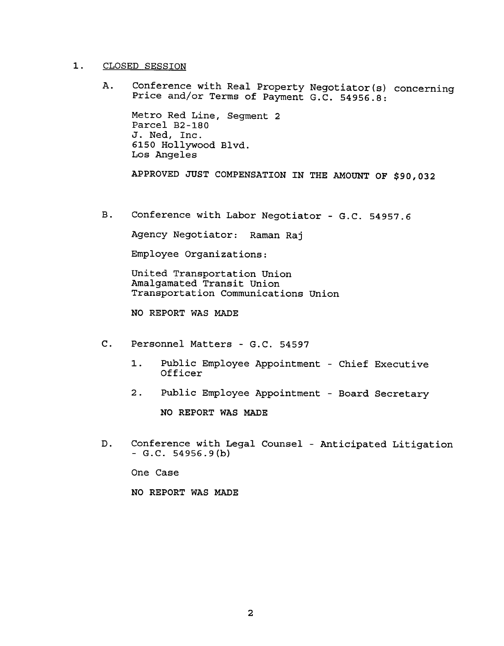#### $\mathbf 1$ . CLOSED SESSION

A. Conference with Real Property Negotiator(s) concerning Price and/or Terms of Payment G.C. 54956.8:

Metro Red Line, Segment 2 Parcel B2-180 J. Ned, Inc. 6150 Hollywood Blvd. Los Angeles

APPROVED JUST COMPENSATION IN THE AMOUNT OF \$90,032

 $B.$ Conference with Labor Negotiator - G.C. 54957.6

Agency Negotiator: Raman Raj

Employee Organizations:

United Transportation Union Amalgamated Transit Union Transportation Communications Union

NO REPORT WAS MADE

- - 1. Public Employee Appointment Chief Executive Officer
	-

NO REPORT WAS MADE

C. Personnel Matters - G.C. 54597<br>1. Public Employee Appointme<br>
Officer<br>
2. Public Employee Appointme<br>
NO REPORT WAS MADE<br>
D. Conference with Legal Counsel<br>
- G.C. 54956.9(b)<br>
One Case<br>
NO REPORT WAS MADE<br>
2 2. Public Employee Appointment - Board Secret.<br>
NO REPORT WAS MADE<br>
D. Conference with Legal Counsel - Anticipated Lit<br>
- G.C. 54956.9(b)<br>
One Case<br>
NO REPORT WAS MADE<br>
2 Conference with Legal Counsel - Anticipated Litigat  $-G.C. 54956.9(b)$ 

One Case

NO REPORT WAS MADE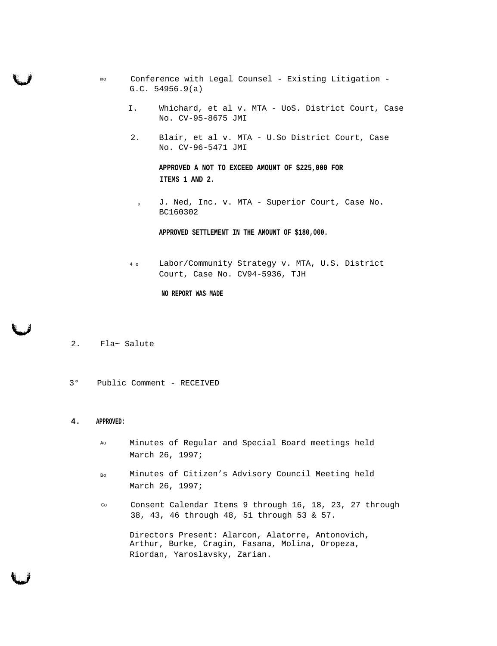- mo Conference with Legal Counsel Existing Litigation G.C. 54956.9(a)
	- I. Whichard, et al v. MTA UoS. District Court, Case No. CV-95-8675 JMI
	- 2. Blair, et al v. MTA U.So District Court, Case No. CV-96-5471 JMI

# **APPROVED A NOT TO EXCEED AMOUNT OF \$225,000 FOR ITEMS 1 AND 2.**

<sup>o</sup> J. Ned, Inc. v. MTA - Superior Court, Case No. BC160302

**APPROVED SETTLEMENT IN THE AMOUNT OF \$180,000.**

4 o Labor/Community Strategy v. MTA, U.S. District Court, Case No. CV94-5936, TJH

#### **NO REPORT WAS MADE**

- 2. Fla~ Salute
- 3° Public Comment RECEIVED

#### **4. APPROVED:**

- Ao Minutes of Regular and Special Board meetings held March 26, 1997;
- Bo Minutes of Citizen's Advisory Council Meeting held March 26, 1997;
- Co Consent Calendar Items 9 through 16, 18, 23, 27 through 38, 43, 46 through 48, 51 through 53 & 57.

Directors Present: Alarcon, Alatorre, Antonovich, Arthur, Burke, Cragin, Fasana, Molina, Oropeza, Riordan, Yaroslavsky, Zarian.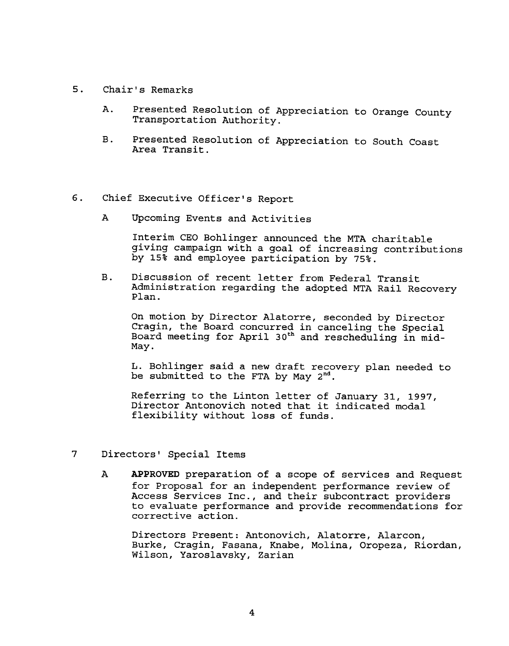- 5. Chair's Remarks
	- Presented Resolution of Appreciation to Orange County Α. Transportation Authority.
	- Presented Resolution of Appreciation to South Coast<br>Area Transit.
- 6. Chief Executive Officer's Report
	- A Upcoming Events and Activities

Interim CEO Bohlinger announced the MTA charitable giving campaign with a goal of increasing contributions by 15% and employee participation by 75%.

B. Discussion of recent letter from Federal Transit Administration regarding the adopted MTA Rail Recovery Plan.

On motion by Director Alatorre, seconded by Director Cragin, the Board concurred in canceling the Specia Board meeting for April 30<sup>th</sup> and rescheduling in mid May.

L. Bohlinger said a new draft recovery plan needed to be submitted to the FTA by May  $2^{nd}$ .

Referring to the Linton letter of January 31, 1997, Director Antonovich noted that it indicated modal flexibility without loss of funds.

- 7 Directors' Special Items
- B. Freented Resolution of Appreciation to South Coast<br>Area Transit.<br>A Upcoming Events and Activities<br>of the Charlinhofe computer of the Charlinhofe computer of the Charlinhofe of Minimum computer and Apple of the Computer A APPROVED preparation of a scope of services and Request for Proposal for an independent performance review of Access Services Inc., and their subcontract providers to evaluate performance and provide recommendations for corrective action.

Directors Present: Antonovich, Alatorre, Alarcon, Burke, Cragin, Fasana, Knabe, Molina, Oropeza, Riordan, Wilson, Yaroslavsky, Zarian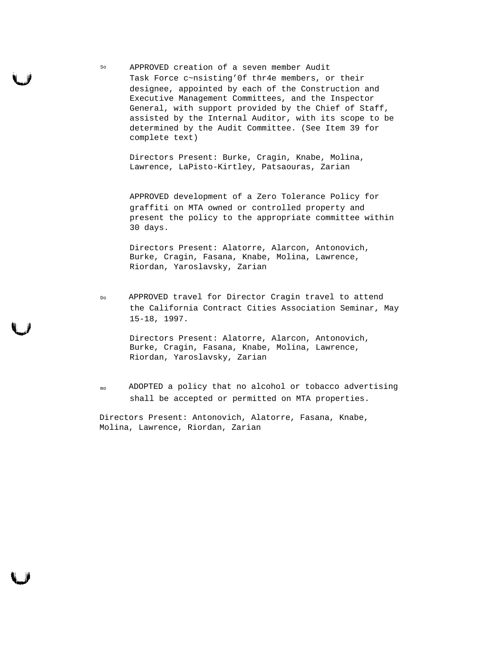so APPROVED creation of a seven member Audit Task Force c~nsisting'0f thr4e members, or their designee, appointed by each of the Construction and Executive Management Committees, and the Inspector General, with support provided by the Chief of Staff, assisted by the Internal Auditor, with its scope to be determined by the Audit Committee. (See Item 39 for complete text)

Directors Present: Burke, Cragin, Knabe, Molina, Lawrence, LaPisto-Kirtley, Patsaouras, Zarian

APPROVED development of a Zero Tolerance Policy for graffiti on MTA owned or controlled property and present the policy to the appropriate committee within 30 days.

Directors Present: Alatorre, Alarcon, Antonovich, Burke, Cragin, Fasana, Knabe, Molina, Lawrence, Riordan, Yaroslavsky, Zarian

Do APPROVED travel for Director Cragin travel to attend the California Contract Cities Association Seminar, May 15-18, 1997.

> Directors Present: Alatorre, Alarcon, Antonovich, Burke, Cragin, Fasana, Knabe, Molina, Lawrence, Riordan, Yaroslavsky, Zarian

mo ADOPTED a policy that no alcohol or tobacco advertising shall be accepted or permitted on MTA properties.

Directors Present: Antonovich, Alatorre, Fasana, Knabe, Molina, Lawrence, Riordan, Zarian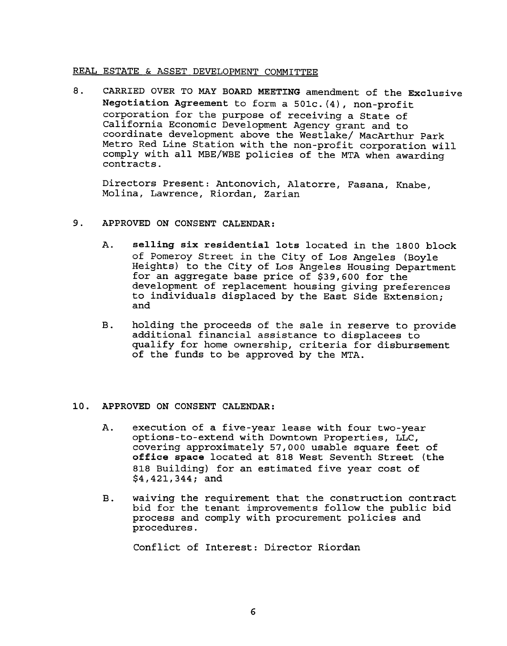# REAL ESTATE & ASSET DEVELOPMENT COMMITTEE

8. CARRIED OVER TO MAY BOARD MEETING amendment of the Exclusive Negotiation Agreement to form a 501c. (4), non-profit corporation for the purpose of receiving a State of California Economic Development Agency grant and to coordinate development above the Westlake/ MacArthur Park Metro Red Line Station with the non-profit corporation will comply with all MBE/WBE policies of the MTA when awarding contracts.

Directors Present: Antonovich, Alatorre, Fasana, Knabe, Molina, Lawrence, Riordan, Zarian

- 9. APPROVED ON CONSENT CALENDAR:
	- $\lambda$ . selling six residential lots located in the 1800 block of Pomeroy Street in the City of Los Angeles (Boyle Heights) to the City of Los Angeles Housing Department for an aggregate base price of \$39,600 for the development of replacement housing giving preferences to individuals displaced by the East Side Extension; and
	- additional financial assistance to displacees to qualify for home ownership, criteria for disbursement of the funds to be approved by the MTA.

# APPROVED ON CONSENT CALENDAR:

- B. holding the proceeds of the sale in reserve to provide additional financial assistance to displacees to qualify for home ownership, criteria for disbursement of the funds to be approved by the MTA.<br>
10. APPROVED ON CONS A. execution of a five-year lease with four two-year options-to-extend with Downtown Properties, LLC, covering approximately 57,000 usable square feet of office space located at 818 West Seventh Street (the 818 Building) for an estimated five year cost of \$4,421,344; and
	- waiving the requirement that the construction contract bid for the tenant improvements follow the public bid process and comply with procurement policies and

Conflict of Interest: Director Riordan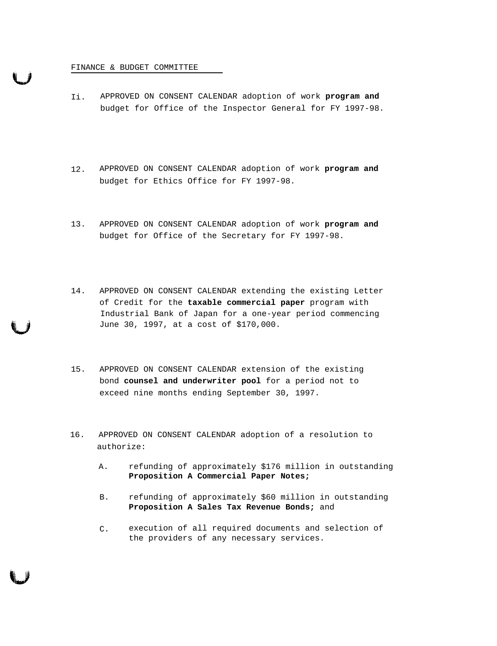#### FINANCE & BUDGET COMMITTEE

- Ii. APPROVED ON CONSENT CALENDAR adoption of work **program and** budget for Office of the Inspector General for FY 1997-98.
- 12. APPROVED ON CONSENT CALENDAR adoption of work **program and** budget for Ethics Office for FY 1997-98.
- 13. APPROVED ON CONSENT CALENDAR adoption of work **program and** budget for Office of the Secretary for FY 1997-98.
- 14. APPROVED ON CONSENT CALENDAR extending the existing Letter of Credit for the **taxable commercial paper** program with Industrial Bank of Japan for a one-year period commencing June 30, 1997, at a cost of \$170,000.
- 15. APPROVED ON CONSENT CALENDAR extension of the existing bond **counsel and underwriter pool** for a period not to exceed nine months ending September 30, 1997.
- 16. APPROVED ON CONSENT CALENDAR adoption of a resolution to authorize:
	- A. refunding of approximately \$176 million in outstanding **Proposition A Commercial Paper Notes;**
	- B. refunding of approximately \$60 million in outstanding **Proposition A Sales Tax Revenue Bonds;** and
	- C. execution of all required documents and selection of the providers of any necessary services.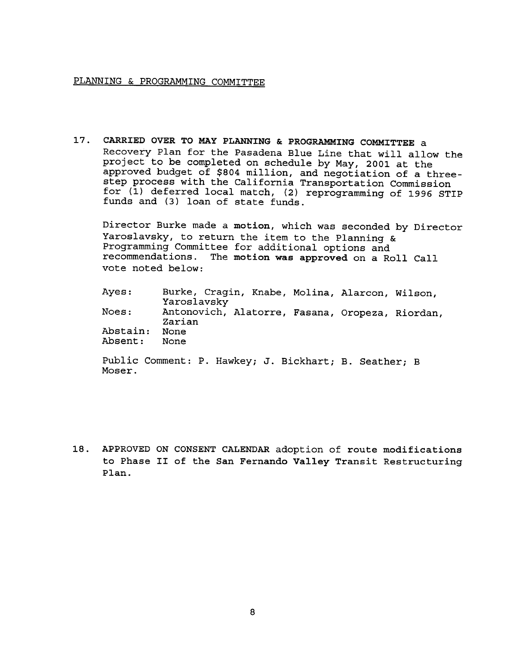# PLANNING & PROGRAMMING COMMITTEE

 $17.$ CARRIED OVER TO MAY PLANNING & PROGRAMMING COMMITTEE a Recovery Plan for the Pasadena Blue Line that will allow the project to be completed on schedule by May, 2001 at the approved budget of \$804 million, and negotiation of a threestep process with the California Transportation Commission for (1) deferred local match, (2) reprogramming of 1996 STIP funds and (3) loan of state funds.

Director Burke made a motion, which was seconded by Director Yaroslavsky, to return the item to the Planning & Programming Committee for additional options and recommendations. The motion was approved on a Roll Call vote noted below:

| Ayes:    | Burke, Cragin, Knabe, Molina, Alarcon, Wilson,  |  |  |
|----------|-------------------------------------------------|--|--|
|          | Yaroslavsky                                     |  |  |
| Noes:    | Antonovich, Alatorre, Fasana, Oropeza, Riordan, |  |  |
|          | Zarian                                          |  |  |
| Abstain: | None                                            |  |  |
| Absent:  | None                                            |  |  |
|          |                                                 |  |  |

Public Comment: P. Hawkey; J. Bickhart; B. Seather; B Moser.

18. APPROVED ON CONSENT CALENDAR adoption of route modifications to Phase II of the San Fernando Valley Transit Restructuring Plan.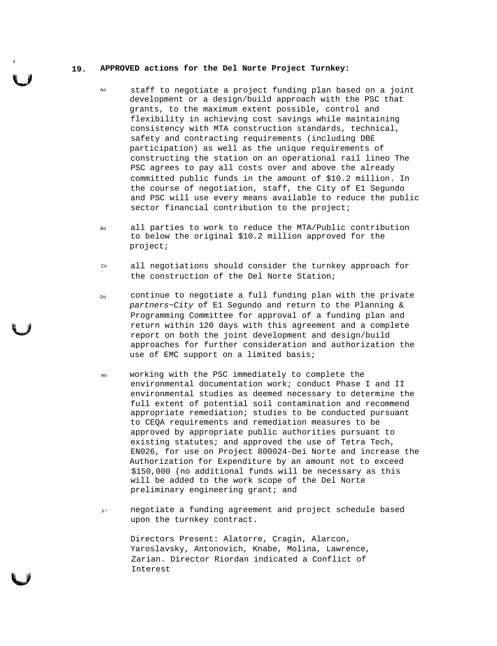#### **19. APPROVED actions for the Del Norte Project Turnkey:**

- Ao staff to negotiate a project funding plan based on a joint development or a design/build approach with the PSC that grants, to the maximum extent possible, control and flexibility in achieving cost savings while maintaining consistency with MTA construction standards, technical, safety and contracting requirements (including DBE participation) as well as the unique requirements of constructing the station on an operational rail lineo The PSC agrees to pay all costs over and above the already committed public funds in the amount of \$10.2 million. In the course of negotiation, staff, the City of E1 Segundo and PSC will use every means available to reduce the public sector financial contribution to the project;
- Bo all parties to work to reduce the MTA/Public contribution to below the original \$10.2 million approved for the project;
- Co all negotiations should consider the turnkey approach for the construction of the Del Norte Station;
- Do continue to negotiate a full funding plan with the private partners~City of E1 Segundo and return to the Planning & Programming Committee for approval of a funding plan and return within 120 days with this agreement and a complete report on both the joint development and design/build approaches for further consideration and authorization the use of EMC support on a limited basis;
- mo working with the PSC immediately to complete the environmental documentation work; conduct Phase I and II environmental studies as deemed necessary to determine the full extent of potential soil contamination and recommend appropriate remediation; studies to be conducted pursuant to CEQA requirements and remediation measures to be approved by appropriate public authorities pursuant to existing statutes; and approved the use of Tetra Tech, EN026, for use on Project 800024-Dei Norte and increase the Authorization for Expenditure by an amount not to exceed \$150,000 (no additional funds will be necessary as this will be added to the work scope of the Del Norte preliminary engineering grant; and
- $F^{\circ}$ negotiate a funding agreement and project schedule based upon the turnkey contract.

Directors Present: Alatorre, Cragin, Alarcon, Yaroslavsky, Antonovich, Knabe, Molina, Lawrence, Zarian. Director Riordan indicated a Conflict of Interest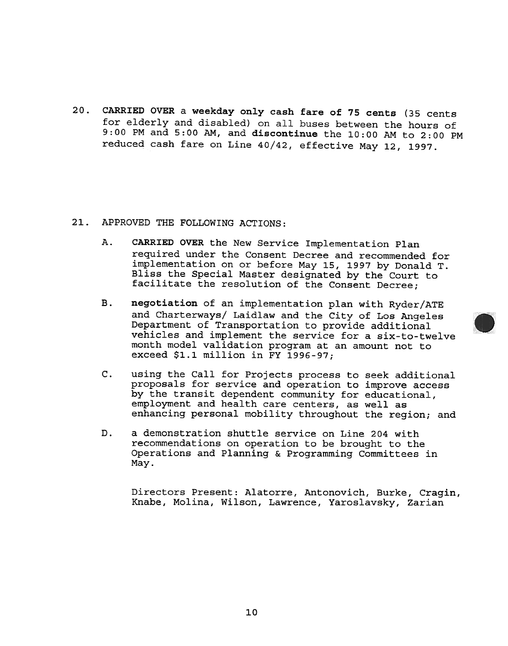CARRIED OVER a weekday only cash fare of 75 cents (35 cents  $20.$ for elderly and disabled) on all buses between the hours of 9:00 PM and 5:00 AM, and discontinue the 10:00 AM to 2:00 PM reduced cash fare on Line 40/42, effective May 12, 1997.

- CARRIED OVER the New Service Implementation Plan required under the Consent Decree and recommended for implementation on or before May 15, 1997 by Donald T. Bliss the Special Master designated by the Court to facilitate the resolution of the Consent Decree;
- 21. APPROVED THE FOLLOWING ACTIONS<br>
A. CARRIED OVER the New Serv:<br>
required under the Consent<br>
required under the Consent<br>
implementation of or before<br>
laist the Special Master or<br>
facilitate the resolution<br>
B. negotiation negotiation of an implementation plan with Ryder/ATE and Charterways/ Laidlaw and the City of Los Angeles Department of Transportation to provide additional vehicles and implement the service for a six-to-twelve month model validation program at an amount not to exceed \$1.1 million in FY 1996-97;
	- c. using the Call for Projects process to seek additional proposals for service and operation to improve access by the transit dependent community for educational, employment and health care centers, as well as enhancing personal mobility throughout the region; and
	- D. a demonstration shuttle service on Line 204 with recommendations on operation to be brought to the Operations and Planning & Programming Committees in

Directors Present: Alatorre, Antonovich, Burke, Cragin, Knabe, Molina, Wilson, Lawrence, Yaroslavsky, Zarian

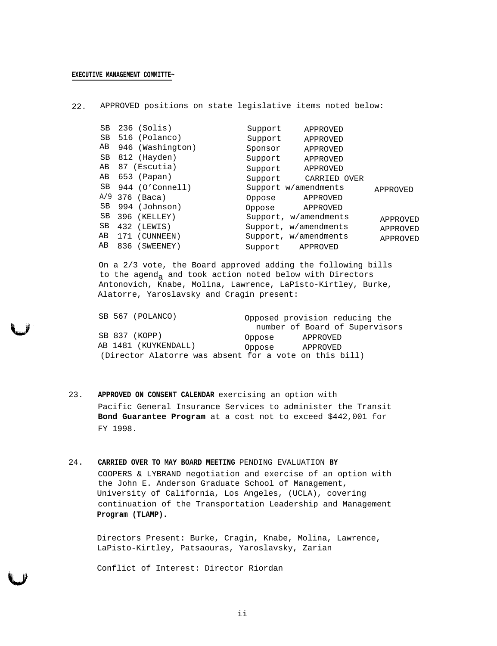22. APPROVED positions on state legislative items noted below:

| $236$ (Solis)    | Support    |                                                                                                                                                                                                                 |
|------------------|------------|-----------------------------------------------------------------------------------------------------------------------------------------------------------------------------------------------------------------|
| 516 (Polanco)    | Support    |                                                                                                                                                                                                                 |
| 946 (Washington) | Sponsor    |                                                                                                                                                                                                                 |
| 812 (Hayden)     | Support    |                                                                                                                                                                                                                 |
| 87 (Escutia)     | Support    |                                                                                                                                                                                                                 |
| 653 (Papan)      | Support    |                                                                                                                                                                                                                 |
| 944 (O'Connell)  |            | APPROVED                                                                                                                                                                                                        |
|                  | Oppose     |                                                                                                                                                                                                                 |
| 994 (Johnson)    | Oppose     |                                                                                                                                                                                                                 |
| 396 (KELLEY)     |            | APPROVED                                                                                                                                                                                                        |
| 432 (LEWIS)      |            | APPROVED                                                                                                                                                                                                        |
| (CUNNEEN)<br>171 |            | APPROVED                                                                                                                                                                                                        |
| 836 (SWEENEY)    | Support    |                                                                                                                                                                                                                 |
|                  | 376 (Baca) | APPROVED<br>APPROVED<br>APPROVED<br>APPROVED<br>APPROVED<br>CARRIED OVER<br>Support w/amendments<br>APPROVED<br>APPROVED<br>Support, w/amendments<br>Support, w/amendments<br>Support, w/amendments<br>APPROVED |

On a 2/3 vote, the Board approved adding the following bills to the agend<sub>a</sub> and took action noted below with Directors Antonovich, Knabe, Molina, Lawrence, LaPisto-Kirtley, Burke, Alatorre, Yaroslavsky and Cragin present:

| SB 567 (POLANCO)                                       |        | Opposed provision reducing the |
|--------------------------------------------------------|--------|--------------------------------|
|                                                        |        | number of Board of Supervisors |
| SB 837 (KOPP)                                          | Oppose | APPROVED                       |
| AB 1481 (KUYKENDALL)                                   | Oppose | APPROVED                       |
| (Director Alatorre was absent for a vote on this bill) |        |                                |

- 23. **APPROVED ON CONSENT CALENDAR** exercising an option with Pacific General Insurance Services to administer the Transit **Bond Guarantee Program** at a cost not to exceed \$442,001 for FY 1998.
- 24. **CARRIED OVER TO MAY BOARD MEETING** PENDING EVALUATION **BY** COOPERS & LYBRAND negotiation and exercise of an option with the John E. Anderson Graduate School of Management, University of California, Los Angeles, (UCLA), covering continuation of the Transportation Leadership and Management **Program (TLAMP).**

Directors Present: Burke, Cragin, Knabe, Molina, Lawrence, LaPisto-Kirtley, Patsaouras, Yaroslavsky, Zarian

Conflict of Interest: Director Riordan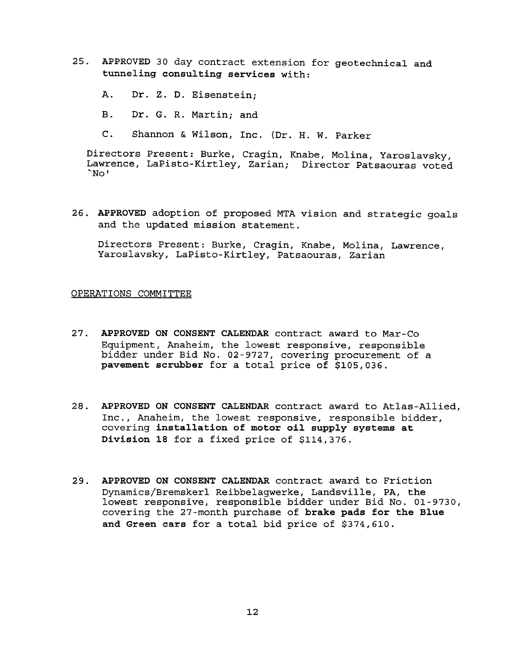- 25. APPROVED 30 day contract extension for geotechnical and tunneling consulting services with:
	- $\mathbf{A}$ . Dr. Z. D. Eisenstein:
	- B. Dr. G. R. Martin: and
	- C. Shannon & Wilson, Inc. (Dr. H. W. Parke

Directors Present: Burke, Cragin, Knabe, Molina, Yaroslavsky, Lawrence, LaPisto-Kirtley, Zarian; Director Patsaouras voted  $N$ <sup> $\circ$ </sup>

26. APPROVED adoption of proposed MTA vision and strategic goals and the updated mission statement.

Directors Present: Burke, Cragin, Knabe, Molina, Lawrence, Yaroslavsky, LaPisto-Kirtley, Patsaouras, Zarian

### OPERATIONS COMMITTEE

- $27.$ APPROVED ON CONSENT CALENDAR contract award to Mar-Co Equipment, Anaheim, the lowest responsive, responsible bidder under Bid No. 02-9727, covering procurement of a pavement scrubber for a total price of \$105,036.
- Inc., Anaheim, the lowest responsive, responsible bidder, covering installation of motor oil supply systems at Division 18 for a fixed price of \$114,376.
- 28. APPROVED ON CONSENT CALENDAR contract award to Atlas-Allied, the lowest responsible bidde:<br>
covering installation of motor oil supply systems at<br>
Division 18 for a fixed price of \$114,376.<br>
29. APPROVED ON CONSENT CALE 29. APPROVED ON CONSENT CALENDAR contract award to Frict:<br>Dynamics/Bremskerl Reibbelagwerke, Landsville, PA, tl<br>lowest responsive, responsible bidder under Bid No.<br>covering the 27-month purchase of brake pads for the<br>and G Dynamics/Bremskerl Reibbelagwerke, Landsville, PA, the lowest responsive, responsible bidder under Bid No. 01-9730, covering the 27-month purchase of brake pads for the Blue and Green cars for a total bid price of \$374,610.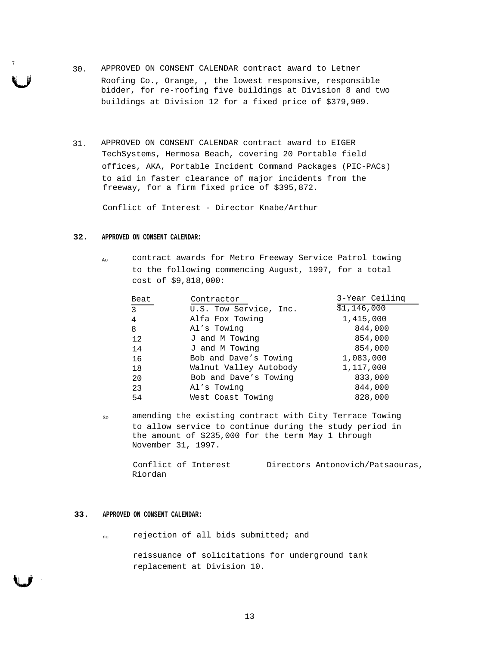- 30. APPROVED ON CONSENT CALENDAR contract award to Letner Roofing Co., Orange, , the lowest responsive, responsible bidder, for re-roofing five buildings at Division 8 and two buildings at Division 12 for a fixed price of \$379,909.
- 31. APPROVED ON CONSENT CALENDAR contract award to EIGER TechSystems, Hermosa Beach, covering 20 Portable field offices, AKA, Portable Incident Command Packages (PIC-PACs) to aid in faster clearance of major incidents from the freeway, for a firm fixed price of \$395,872.

Conflict of Interest - Director Knabe/Arthur

### **32. APPROVED ON CONSENT CALENDAR:**

<sub>Ao</sub> contract awards for Metro Freeway Service Patrol towing to the following commencing August, 1997, for a total cost of \$9,818,000:

| Beat           | Contractor             | 3-Year Ceiling |
|----------------|------------------------|----------------|
| $\overline{3}$ | U.S. Tow Service, Inc. | \$1,146,000    |
| 4              | Alfa Fox Towing        | 1,415,000      |
| 8              | Al's Towing            | 844,000        |
| 12             | J and M Towing         | 854,000        |
| 14             | J and M Towing         | 854,000        |
| 16             | Bob and Dave's Towing  | 1,083,000      |
| 18             | Walnut Valley Autobody | 1,117,000      |
| 20             | Bob and Dave's Towing  | 833,000        |
| 23             | Al's Towing            | 844,000        |
| 54             | West Coast Towing      | 828,000        |

so amending the existing contract with City Terrace Towing to allow service to continue during the study period in the amount of \$235,000 for the term May 1 through November 31, 1997.

Conflict of Interest Riordan Directors Antonovich/Patsaouras,

#### **33. APPROVED ON CONSENT CALENDAR:**

no rejection of all bids submitted; and

reissuance of solicitations for underground tank replacement at Division 10.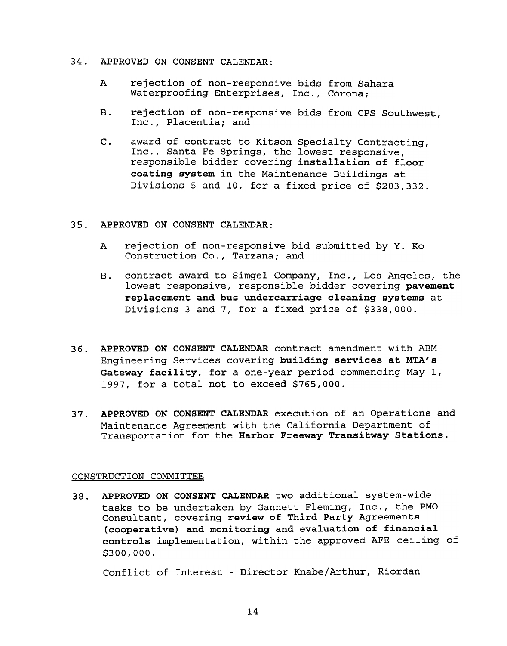- 34. APPROVED ON CONSENT CALENDAR:
	- A rejection of non-responsive bids from Sahara Waterproofing Enterprises, Inc., Corona;
	- rejection of non-responsive bids from CPS Southwest, **B.** Inc., Placentia; and
	- award of contract to Kitson Specialty Contracting,  $C_{\star}$ Inc., Santa Fe Springs, the lowest responsive, responsible bidder covering installation of floor coating system in the Maintenance Buildings at Divisions 5 and 10, for a fixed price of \$203,332.
- APPROVED ON CONSENT CALENDAR:
	- A rejection of non-responsive bid submitted by Y. Ko Construction Co., Tarzana; and
	- contract award to Simgel Company, Inc., Los Angeles, the  $B.$ lowest responsive, responsible bidder covering pavement replacement and bus undercarriage cleaning systems at Divisions 3 and 7, for a fixed price of \$338,000.
- 36. APPROVED ON CONSENT CALENDAR contract amendment with ABM Engineering Services covering building services at MTA's Gateway facility, for a one-year period commencing May 1, 1997, for a total not to exceed \$765,000.
- Maintenance Agreement with the California Department of Transportation for the Harbor Freeway Transitway Stations.

# CONSTRUCTION COMMITTEE

37. APPROVED ON CONSENT CALENDAR execution of an Operations and<br>
Maintenance Agreement with the California Department of<br>
Transportation for the Harbor Freeway Transitway Stations.<br>
CONSTRUCTION COMMITTEE<br>
38. APPROVED ON 38. APPROVED ON CONSENT CALENDAR two additional system-wide tasks to be undertaken by Gannett Fleming, Inc., the PMO Consultant, covering review of Third Party Agreements (cooperative) and monitoring and evaluation of financial controls implementation, within the approved AFE ceiling of \$300,000.

Conflict of Interest - Director Knabe/Arthur, Riordan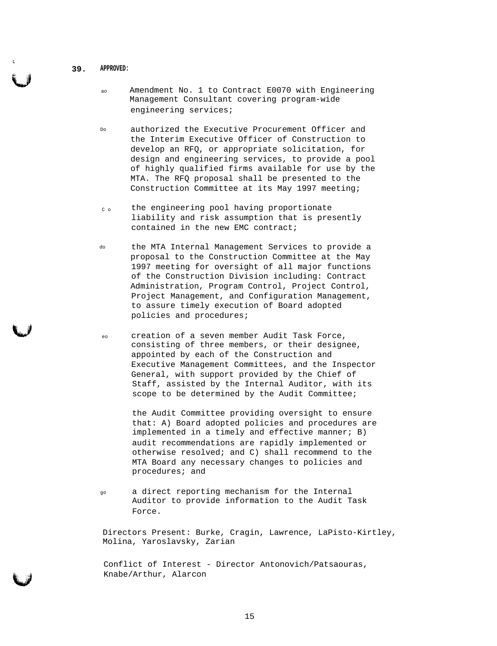- **39. APPROVED:**
	- ao Amendment No. 1 to Contract E0070 with Engineering Management Consultant covering program-wide engineering services;
	- Do authorized the Executive Procurement Officer and the Interim Executive Officer of Construction to develop an RFQ, or appropriate solicitation, for design and engineering services, to provide a pool of highly qualified firms available for use by the MTA. The RFQ proposal shall be presented to the Construction Committee at its May 1997 meeting;
	- $c<sub>c</sub>$  the engineering pool having proportionate liability and risk assumption that is presently contained in the new EMC contract;
	- do the MTA Internal Management Services to provide a proposal to the Construction Committee at the May 1997 meeting for oversight of all major functions of the Construction Division including: Contract Administration, Program Control, Project Control, Project Management, and Configuration Management, to assure timely execution of Board adopted policies and procedures;
	- eo creation of a seven member Audit Task Force, consisting of three members, or their designee, appointed by each of the Construction and Executive Management Committees, and the Inspector General, with support provided by the Chief of Staff, assisted by the Internal Auditor, with its scope to be determined by the Audit Committee;

the Audit Committee providing oversight to ensure that: A) Board adopted policies and procedures are implemented in a timely and effective manner; B) audit recommendations are rapidly implemented or otherwise resolved; and C) shall recommend to the MTA Board any necessary changes to policies and procedures; and

go a direct reporting mechanism for the Internal Auditor to provide information to the Audit Task Force.

Directors Present: Burke, Cragin, Lawrence, LaPisto-Kirtley, Molina, Yaroslavsky, Zarian

Conflict of Interest - Director Antonovich/Patsaouras, Knabe/Arthur, Alarcon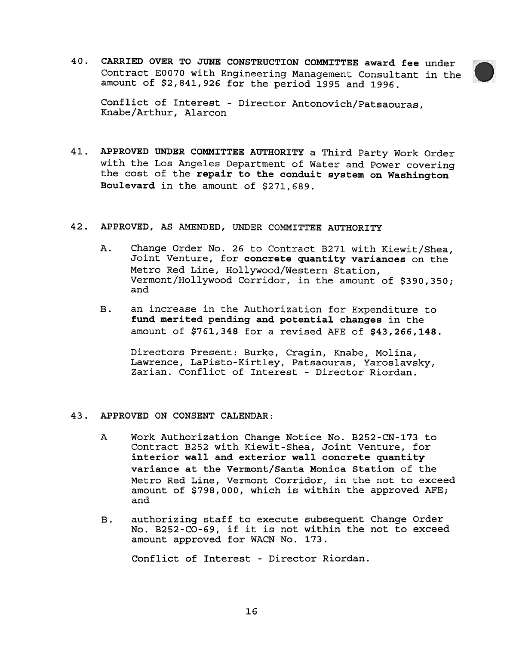40. CARRIED OVER TO JUNE CONSTRUCTION COMMITTEE award fee under Contract EO070 with Engineering Management Consultant in the amount of \$2,841,926 for the period 1995 and 1996.



Conflict of Interest - Director Antonovich/Patsaouras, Knabe/Arthur, Alarcon

- APPROVED UNDER COMMITTEE AUTHORITY a Third Party Work Order 41. with the Los Angeles Department of Water and Power covering the cost of the repair to the conduit system on Washington Boulevard in the amount of \$271,689.
- 42. APPROVED, AS AMENDED, UNDER COMMITTEE AUTHORITY
	- $\lambda$ . Change Order No. 26 to Contract B271 with Kiewit/Shea, Joint Venture, for concrete quantity variances on the Metro Red Line, Hollywood/Western Station, Vermont/Hollywood Corridor, in the amount of \$390,350; and
	- $B.$ an increase in the Authorization for Expenditure to fund merited pending and potential changes in the amount of \$761,348 for a revised AFE of \$43,266,148.

Directors Present: Burke, Cragin, Knabe, Molina, Lawrence, LaPisto-Kirtley, Patsaouras, Yaroslavsky, Zarian. Conflict of Interest - Director Riordan.

- 43. APPROVED ON CONSENT CALENDAR:
	- A Work Authorization Change Notice No. B252-CN-173 to Contract B252 with Kiewit-Shea, Joint Venture, for interior wall and exterior wall concrete quantity variance at the Vermont/Santa Monica Station of the Metro Red Line, Vermont Corridor, in the not to exceed amount of \$798,000, which is within the approved AFE; and
	- $B.$ authorizing staff to execute subsequent Change Order No. B252-CO-69, if it is not within the not to exceed amount approved for WACN No. 173.

Conflict of Interest - Director Riorda<br>16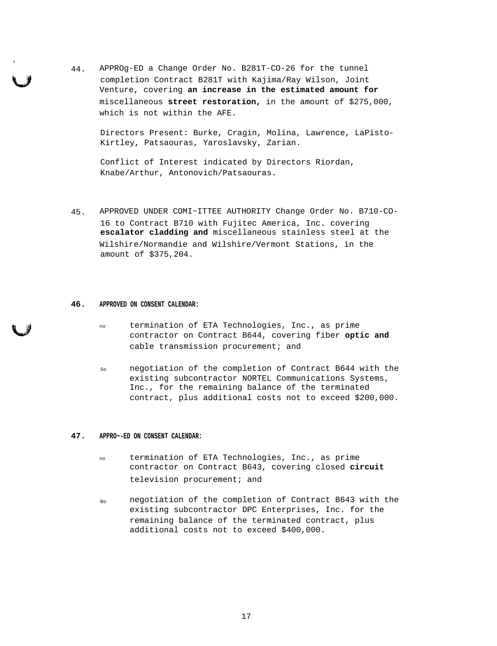44. APPROg-ED a Change Order No. B281T-CO-26 for the tunnel completion Contract B281T with Kajima/Ray Wilson, Joint Venture, covering **an increase in the estimated amount for** miscellaneous **street restoration,** in the amount of \$275,000, which is not within the AFE.

Directors Present: Burke, Cragin, Molina, Lawrence, LaPisto-Kirtley, Patsaouras, Yaroslavsky, Zarian.

Conflict of Interest indicated by Directors Riordan, Knabe/Arthur, Antonovich/Patsaouras.

45. APPROVED UNDER COMI~ITTEE AUTHORITY Change Order No. B710-CO-16 to Contract B710 with Fujitec America, Inc. covering **escalator cladding and** miscellaneous stainless steel at the Wilshire/Normandie and Wilshire/Vermont Stations, in the amount of \$375,204.

#### **46. APPROVED ON CONSENT CALENDAR:**

- no termination of ETA Technologies, Inc., as prime contractor on Contract B644, covering fiber **optic and** cable transmission procurement; and
- So negotiation of the completion of Contract B644 with the existing subcontractor NORTEL Communications Systems, Inc., for the remaining balance of the terminated contract, plus additional costs not to exceed \$200,000.

#### **47. APPRO~-ED ON CONSENT CALENDAR:**

- no termination of ETA Technologies, Inc., as prime contractor on Contract B643, covering closed **circuit** television procurement; and
- Bo negotiation of the completion of Contract B643 with the existing subcontractor DPC Enterprises, Inc. for the remaining balance of the terminated contract, plus additional costs not to exceed \$400,000.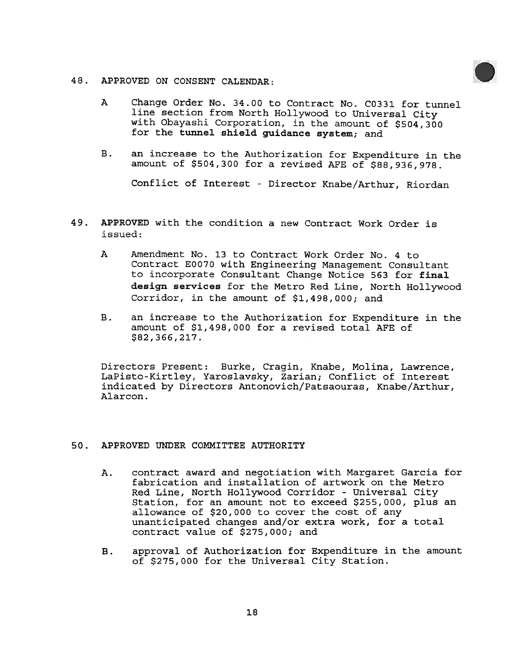- 48. APPROVED ON CONSENT CALENDAR:
	- A Change Order No. 34.00 to Contract No. C0331 for tunnel line section from North Hollywood to Universal City with Obayashi Corporation, in the amount of \$504,300 for the tunnel shield guidance system; and
	- $B<sub>1</sub>$ an increase to the Authorization for Expenditure in the amount of \$504,300 for a revised AFE of \$88,936,978.

Conflict of Interest - Director Knabe/Arthur, Riordan

- 49. APPROVED with the condition a new Contract Work Order is issued:
	- A Amendment No. 13 to Contract Work Order No.4 to Contract EO070 with Engineering Management Consultant to incorporate Consultant Change Notice 563 for final design services for the Metro Red Line, North Hollywood Corridor, in the amount of \$1,498,000; and
	- $B<sub>1</sub>$ an increase to the Authorization for Expenditure in the amount of \$1,498,000 for a revised total AFE of \$82,366,217.

Directors Present: Burke, Cragin, Knabe, Molina, Lawrence, LaPisto-Kirtley, Yaroslavsky, Zarian; Conflict of Interest indicated by Directors Antonovich/Patsaouras, Knabe/Arthur, Alarcon.

- 50. APPROVED UNDER COMMITTEE AUTHORITY
- A. contract award and negotiation with Margaret Garcia for fabrication and installation of artwork on the Metrom the Metro Red Lity Station, for an amount not to exceed \$255,000, plus and allowance of \$20,000 cover the cos fabrication and installation of artwork on the Metro Red Line, North Hollywood Corridor - Universal City Station, for an amount not to exceed \$255,000, plus an allowance of \$20,000 to cover the cost of any unanticipated changes and/or extra work, for a total contract value of \$275,000; and
	- B. approval of Authorization for Expenditure in the amount of \$275,000 for the Universal City Station.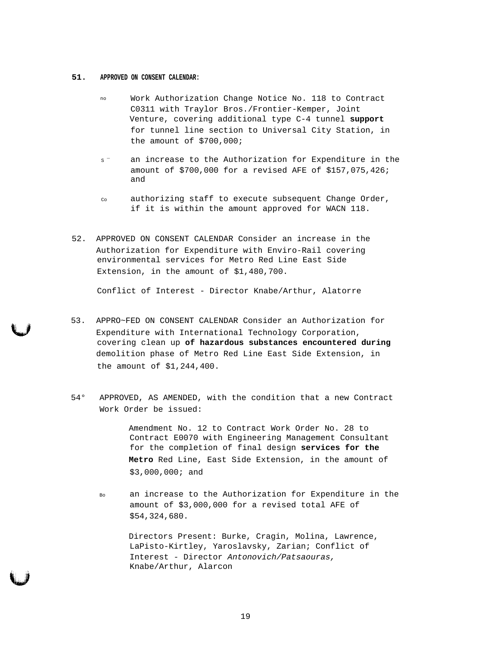#### **51. APPROVED ON CONSENT CALENDAR:**

- no Work Authorization Change Notice No. 118 to Contract C0311 with Traylor Bros./Frontier-Kemper, Joint Venture, covering additional type C-4 tunnel **support** for tunnel line section to Universal City Station, in the amount of \$700,000;
- s<sup>-</sup> an increase to the Authorization for Expenditure in the amount of \$700,000 for a revised AFE of \$157,075,426; and
- co authorizing staff to execute subsequent Change Order, if it is within the amount approved for WACN 118.
- 52. APPROVED ON CONSENT CALENDAR Consider an increase in the Authorization for Expenditure with Enviro-Rail covering environmental services for Metro Red Line East Side Extension, in the amount of \$1,480,700.

Conflict of Interest - Director Knabe/Arthur, Alatorre

- 53. APPRO~FED ON CONSENT CALENDAR Consider an Authorization for Expenditure with International Technology Corporation, covering clean up **of hazardous substances encountered during** demolition phase of Metro Red Line East Side Extension, in the amount of \$1,244,400.
- 54° APPROVED, AS AMENDED, with the condition that a new Contract Work Order be issued:

Amendment No. 12 to Contract Work Order No. 28 to Contract E0070 with Engineering Management Consultant for the completion of final design **services for the Metro** Red Line, East Side Extension, in the amount of \$3,000,000; and

Bo an increase to the Authorization for Expenditure in the amount of \$3,000,000 for a revised total AFE of \$54,324,680.

> Directors Present: Burke, Cragin, Molina, Lawrence, LaPisto-Kirtley, Yaroslavsky, Zarian; Conflict of Interest - Director Antonovich/Patsaouras, Knabe/Arthur, Alarcon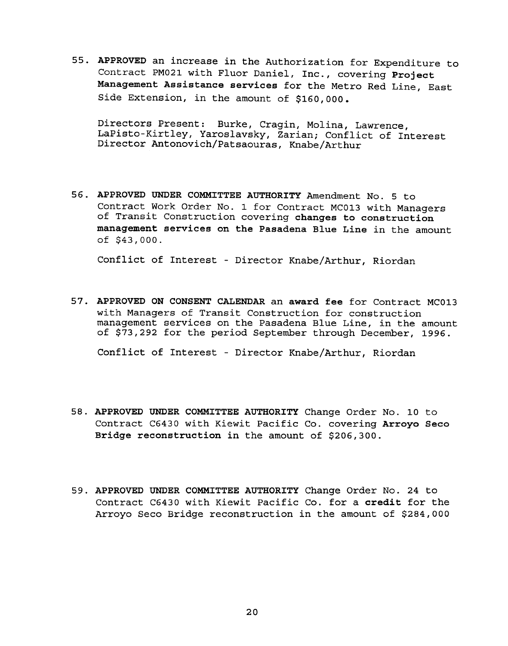APPROVED an increase in the Authorization for Expenditure to Contract PM021 with Fluor Daniel, Inc., covering Project Management Assistance services for the Metro Red Line, East Side Extension, in the amount of \$160,000.

Directors Present: Burke, Cragin, Molina, Lawrence, LaPisto-Kirtley, Yaroslavsky, Zarian; Conflict of Interest Director Antonovich/Patsaouras, Knabe/Arthur

APPROVED UNDER COMMITTEE AUTHORITY Amendment No.5 to Contract Work Order No.1 for Contract MCO13 with Managers of Transit Construction covering changes to construction management services on the Pasadena Blue Line in the amount of \$43,000.

Conflict of Interest - Director Knabe/Arthur, Riordan

57. APPROVED ON CONSENT CALENDAR an award fee for Contract MCO13<br>with Managers of Transit Construction for construction<br>management enrices on the Baadden Blue Line, in the amount<br>of \$73,292 for the period September through with Managers of Transit Construction for construction management services on the Pasadena Blue Line, in the amount of \$73,292 for the period September through December, 1996.

Conflict of Interest - Director Knabe/Arthur, Riordan

- APPROVED UNDER COMMITTEE AUTHORITY Change Order No. 10 to Contract C6430 with Kiewit Pacific Co. covering Arroyo Seco Bridge reconstruction in the amount of \$206,300.
- 59. APPROVED UNDER COMMITTEE AUTHORITY Change Order No. 24 to<br>Contract C6430 with Kiewit Pacific Co. for a credit for the<br>Arroyo Seco Bridge reconstruction in the amount of \$284, Contract C6430 with Kiewit Pacific Co. for a credit for the Arroyo Seco Bridge reconstruction in the amount of \$284,000